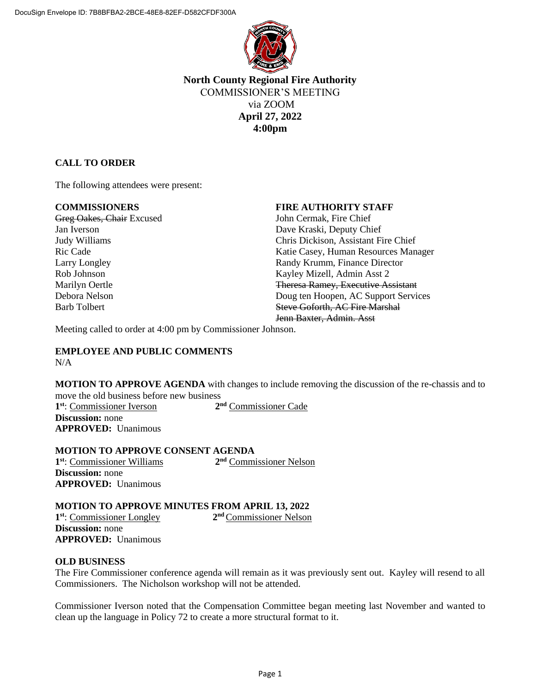

# **North County Regional Fire Authority** COMMISSIONER'S MEETING via ZOOM **April 27, 2022 4:00pm**

## **CALL TO ORDER**

The following attendees were present:

Greg Oakes, Chair Excused John Cermak, Fire Chief Jan Iverson Dave Kraski, Deputy Chief

### **COMMISSIONERS FIRE AUTHORITY STAFF**

Judy Williams Chris Dickison, Assistant Fire Chief Ric Cade **Katie Casey, Human Resources Manager** Katie Casey, Human Resources Manager Larry Longley **Randy Krumm, Finance Director** Randy Krumm, Finance Director Rob Johnson Kayley Mizell, Admin Asst 2 Marilyn Oertle Theresa Ramey, Executive Assistant Debora Nelson Doug ten Hoopen, AC Support Services Barb Tolbert **Steve Goforth, AC Fire Marshal** Jenn Baxter, Admin. Asst

Meeting called to order at 4:00 pm by Commissioner Johnson.

#### **EMPLOYEE AND PUBLIC COMMENTS** N/A

**MOTION TO APPROVE AGENDA** with changes to include removing the discussion of the re-chassis and to move the old business before new business

**1 st**: Commissioner Iverson **2 Discussion:** none **APPROVED:** Unanimous

2<sup>nd</sup> Commissioner Cade

#### **MOTION TO APPROVE CONSENT AGENDA 1 st**: Commissioner Williams **2 nd** Commissioner Nelson **Discussion:** none **APPROVED:** Unanimous

#### **MOTION TO APPROVE MINUTES FROM APRIL 13, 2022**

**1 st**: Commissioner Longley **2 nd** Commissioner Nelson **Discussion:** none **APPROVED:** Unanimous

#### **OLD BUSINESS**

The Fire Commissioner conference agenda will remain as it was previously sent out. Kayley will resend to all Commissioners. The Nicholson workshop will not be attended.

Commissioner Iverson noted that the Compensation Committee began meeting last November and wanted to clean up the language in Policy 72 to create a more structural format to it.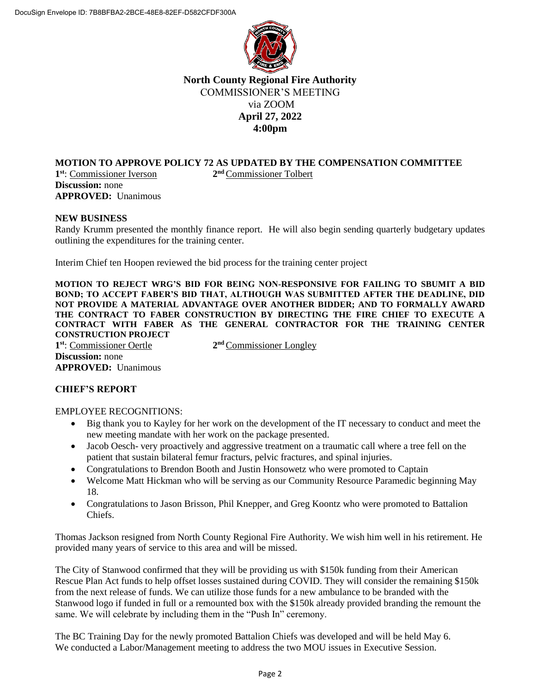

# **North County Regional Fire Authority** COMMISSIONER'S MEETING via ZOOM **April 27, 2022 4:00pm**

#### **MOTION TO APPROVE POLICY 72 AS UPDATED BY THE COMPENSATION COMMITTEE 1 st**: Commissioner Iverson **2** 2<sup>nd</sup> Commissioner Tolbert

**Discussion:** none **APPROVED:** Unanimous

#### **NEW BUSINESS**

Randy Krumm presented the monthly finance report. He will also begin sending quarterly budgetary updates outlining the expenditures for the training center.

Interim Chief ten Hoopen reviewed the bid process for the training center project

**MOTION TO REJECT WRG'S BID FOR BEING NON-RESPONSIVE FOR FAILING TO SBUMIT A BID BOND; TO ACCEPT FABER'S BID THAT, ALTHOUGH WAS SUBMITTED AFTER THE DEADLINE, DID NOT PROVIDE A MATERIAL ADVANTAGE OVER ANOTHER BIDDER; AND TO FORMALLY AWARD THE CONTRACT TO FABER CONSTRUCTION BY DIRECTING THE FIRE CHIEF TO EXECUTE A CONTRACT WITH FABER AS THE GENERAL CONTRACTOR FOR THE TRAINING CENTER CONSTRUCTION PROJECT**

**1 st**: Commissioner Oertle **2 Discussion:** none **APPROVED:** Unanimous

2<sup>nd</sup> Commissioner Longley

### **CHIEF'S REPORT**

#### EMPLOYEE RECOGNITIONS:

- Big thank you to Kayley for her work on the development of the IT necessary to conduct and meet the new meeting mandate with her work on the package presented.
- Jacob Oesch- very proactively and aggressive treatment on a traumatic call where a tree fell on the patient that sustain bilateral femur fracturs, pelvic fractures, and spinal injuries.
- Congratulations to Brendon Booth and Justin Honsowetz who were promoted to Captain
- Welcome Matt Hickman who will be serving as our Community Resource Paramedic beginning May 18.
- Congratulations to Jason Brisson, Phil Knepper, and Greg Koontz who were promoted to Battalion Chiefs.

Thomas Jackson resigned from North County Regional Fire Authority. We wish him well in his retirement. He provided many years of service to this area and will be missed.

The City of Stanwood confirmed that they will be providing us with \$150k funding from their American Rescue Plan Act funds to help offset losses sustained during COVID. They will consider the remaining \$150k from the next release of funds. We can utilize those funds for a new ambulance to be branded with the Stanwood logo if funded in full or a remounted box with the \$150k already provided branding the remount the same. We will celebrate by including them in the "Push In" ceremony.

The BC Training Day for the newly promoted Battalion Chiefs was developed and will be held May 6. We conducted a Labor/Management meeting to address the two MOU issues in Executive Session.